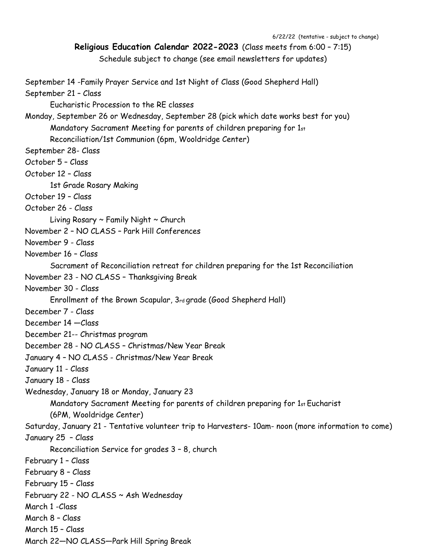6/22/22 (tentative - subject to change)

```
Religious Education Calendar 2022-2023 (Class meets from 6:00 – 7:15)
```
Schedule subject to change (see email newsletters for updates)

September 14 -Family Prayer Service and 1st Night of Class (Good Shepherd Hall) September 21 – Class Eucharistic Procession to the RE classes Monday, September 26 or Wednesday, September 28 (pick which date works best for you) Mandatory Sacrament Meeting for parents of children preparing for 1st Reconciliation/1st Communion (6pm, Wooldridge Center) September 28- Class October 5 – Class October 12 – Class 1st Grade Rosary Making October 19 – Class October 26 - Class Living Rosary  $\sim$  Family Night  $\sim$  Church November 2 – NO CLASS – Park Hill Conferences November 9 - Class November 16 – Class Sacrament of Reconciliation retreat for children preparing for the 1st Reconciliation November 23 - NO CLASS – Thanksgiving Break November 30 - Class Enrollment of the Brown Scapular, 3rd grade (Good Shepherd Hall) December 7 - Class December 14 —Class December 21-- Christmas program December 28 - NO CLASS – Christmas/New Year Break January 4 – NO CLASS - Christmas/New Year Break January 11 - Class January 18 - Class Wednesday, January 18 or Monday, January 23 Mandatory Sacrament Meeting for parents of children preparing for 1st Eucharist (6PM, Wooldridge Center) Saturday, January 21 - Tentative volunteer trip to Harvesters- 10am- noon (more information to come) January 25 – Class Reconciliation Service for grades 3 – 8, church February 1 – Class February 8 – Class February 15 – Class February 22 - NO CLASS ~ Ash Wednesday March 1 -Class March 8 – Class March 15 – Class March 22—NO CLASS—Park Hill Spring Break